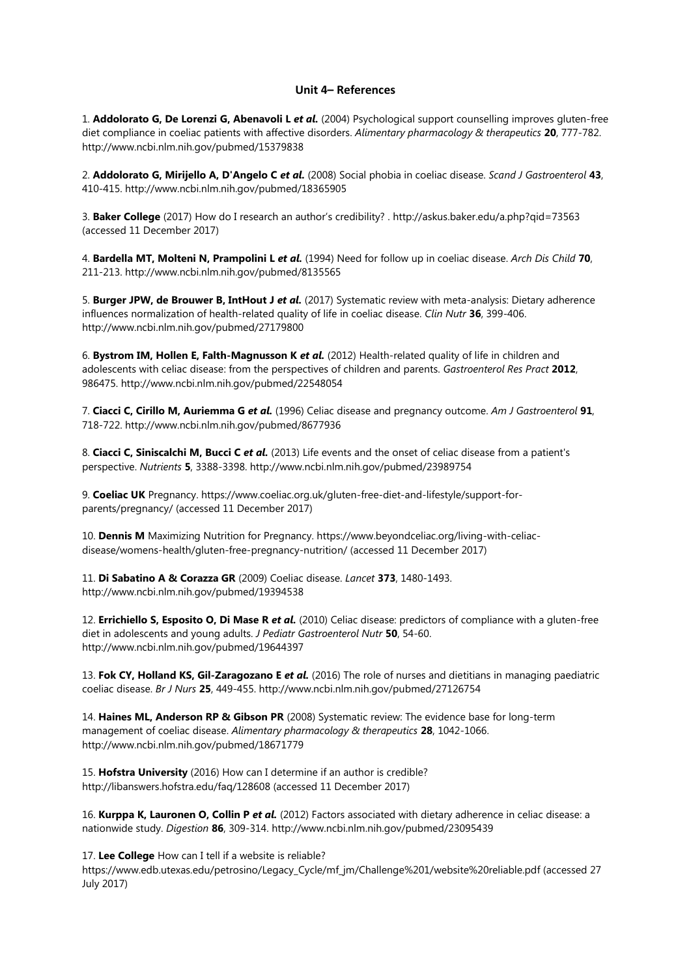## **Unit 4– References**

1. **Addolorato G, De Lorenzi G, Abenavoli L** *et al.* (2004) Psychological support counselling improves gluten-free diet compliance in coeliac patients with affective disorders. *Alimentary pharmacology & therapeutics* **20**, 777-782. http://www.ncbi.nlm.nih.gov/pubmed/15379838

2. **Addolorato G, Mirijello A, D'Angelo C** *et al.* (2008) Social phobia in coeliac disease. *Scand J Gastroenterol* **43**, 410-415. http://www.ncbi.nlm.nih.gov/pubmed/18365905

3. **Baker College** (2017) How do I research an author's credibility? . http://askus.baker.edu/a.php?qid=73563 (accessed 11 December 2017)

4. **Bardella MT, Molteni N, Prampolini L** *et al.* (1994) Need for follow up in coeliac disease. *Arch Dis Child* **70**, 211-213. http://www.ncbi.nlm.nih.gov/pubmed/8135565

5. **Burger JPW, de Brouwer B, IntHout J** *et al.* (2017) Systematic review with meta-analysis: Dietary adherence influences normalization of health-related quality of life in coeliac disease. *Clin Nutr* **36**, 399-406. http://www.ncbi.nlm.nih.gov/pubmed/27179800

6. **Bystrom IM, Hollen E, Falth-Magnusson K** *et al.* (2012) Health-related quality of life in children and adolescents with celiac disease: from the perspectives of children and parents. *Gastroenterol Res Pract* **2012**, 986475. http://www.ncbi.nlm.nih.gov/pubmed/22548054

7. **Ciacci C, Cirillo M, Auriemma G** *et al.* (1996) Celiac disease and pregnancy outcome. *Am J Gastroenterol* **91**, 718-722. http://www.ncbi.nlm.nih.gov/pubmed/8677936

8. **Ciacci C, Siniscalchi M, Bucci C** *et al.* (2013) Life events and the onset of celiac disease from a patient's perspective. *Nutrients* **5**, 3388-3398. http://www.ncbi.nlm.nih.gov/pubmed/23989754

9. **Coeliac UK** Pregnancy. https://www.coeliac.org.uk/gluten-free-diet-and-lifestyle/support-forparents/pregnancy/ (accessed 11 December 2017)

10. **Dennis M** Maximizing Nutrition for Pregnancy. https://www.beyondceliac.org/living-with-celiacdisease/womens-health/gluten-free-pregnancy-nutrition/ (accessed 11 December 2017)

11. **Di Sabatino A & Corazza GR** (2009) Coeliac disease. *Lancet* **373**, 1480-1493. http://www.ncbi.nlm.nih.gov/pubmed/19394538

12. **Errichiello S, Esposito O, Di Mase R** *et al.* (2010) Celiac disease: predictors of compliance with a gluten-free diet in adolescents and young adults. *J Pediatr Gastroenterol Nutr* **50**, 54-60. http://www.ncbi.nlm.nih.gov/pubmed/19644397

13. **Fok CY, Holland KS, Gil-Zaragozano E** *et al.* (2016) The role of nurses and dietitians in managing paediatric coeliac disease. *Br J Nurs* **25**, 449-455. http://www.ncbi.nlm.nih.gov/pubmed/27126754

14. **Haines ML, Anderson RP & Gibson PR** (2008) Systematic review: The evidence base for long-term management of coeliac disease. *Alimentary pharmacology & therapeutics* **28**, 1042-1066. http://www.ncbi.nlm.nih.gov/pubmed/18671779

15. **Hofstra University** (2016) How can I determine if an author is credible? http://libanswers.hofstra.edu/faq/128608 (accessed 11 December 2017)

16. **Kurppa K, Lauronen O, Collin P** *et al.* (2012) Factors associated with dietary adherence in celiac disease: a nationwide study. *Digestion* **86**, 309-314. http://www.ncbi.nlm.nih.gov/pubmed/23095439

17. **Lee College** How can I tell if a website is reliable?

https://www.edb.utexas.edu/petrosino/Legacy\_Cycle/mf\_jm/Challenge%201/website%20reliable.pdf (accessed 27 July 2017)